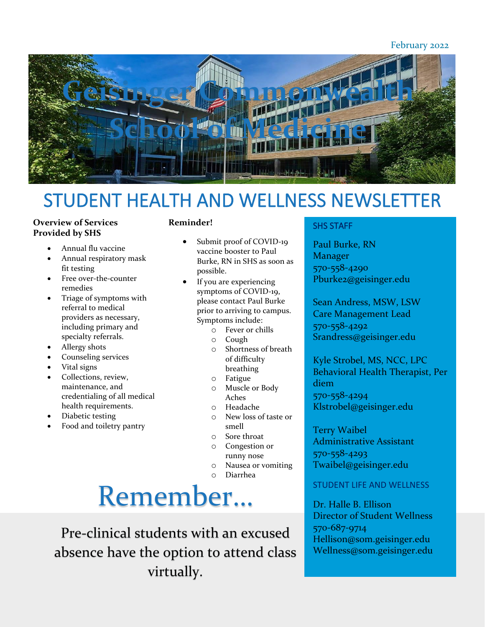#### February 2022



### STUDENT HEALTH AND WELLNESS NEWSLETTER

#### **Overview of Services Provided by SHS**

- Annual flu vaccine
- Annual respiratory mask fit testing
- Free over-the-counter remedies
- Triage of symptoms with referral to medical providers as necessary, including primary and specialty referrals.
- Allergy shots
- Counseling services
- Vital signs
- Collections, review, maintenance, and credentialing of all medical health requirements.
- Diabetic testing
- Food and toiletry pantry

#### **Reminder!**

- Submit proof of COVID-19 vaccine booster to Paul Burke, RN in SHS as soon as possible.
- If you are experiencing symptoms of COVID-19, please contact Paul Burke prior to arriving to campus. Symptoms include:
	- o Fever or chills
	- o Cough
	- o Shortness of breath of difficulty breathing
	- o Fatigue
	- o Muscle or Body Aches
	- o Headache
	- o New loss of taste or smell
	- o Sore throat
	- o Congestion or runny nose
	- o Nausea or vomiting
	- o Diarrhea

# Remember…

Pre-clinical students with an excused absence have the option to attend class virtually.

#### SHS STAFF

Paul Burke, RN Manager 570-558-4290 Pburke2@geisinger.edu

Sean Andress, MSW, LSW Care Management Lead 570-558-4292 Srandress@geisinger.edu

Kyle Strobel, MS, NCC, LPC Behavioral Health Therapist, Per diem 570-558-4294 Klstrobel@geisinger.edu

Terry Waibel Administrative Assistant 570-558-4293 Twaibel@geisinger.edu

#### STUDENT LIFE AND WELLNESS

Dr. Halle B. Ellison Director of Student Wellness 570-687-9714 Hellison@som.geisinger.edu Wellness@som.geisinger.edu